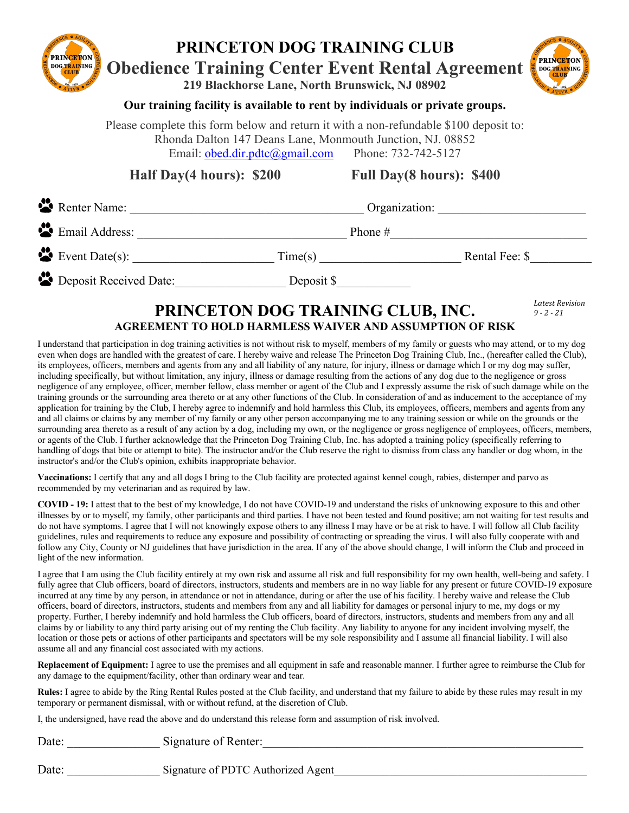## **PRINCETON DOG TRAINING CLUB PRINCETON Obedience Training Center Event Rental Agreement DOG TRAINING 219 Blackhorse Lane, North Brunswick, NJ 08902**



*Latest Revision 9 - 2 - 21* 

## **Our training facility is available to rent by individuals or private groups.**

Please complete this form below and return it with a non-refundable \$100 deposit to: Rhonda Dalton 147 Deans Lane, Monmouth Junction, NJ. 08852 Email: obed.dir.pdtc@gmail.com Phone: 732-742-5127

**Half Day(4 hours): \$200 Full Day(8 hours): \$400**

| Renter Name:             | Organization: |                |
|--------------------------|---------------|----------------|
| Email Address:           | Phone $#$     |                |
| $\bullet$ Event Date(s): | Time(s)       | Rental Fee: \$ |
| Deposit Received Date:   | Deposit \$    |                |

## **PRINCETON DOG TRAINING CLUB, INC. AGREEMENT TO HOLD HARMLESS WAIVER AND ASSUMPTION OF RISK**

I understand that participation in dog training activities is not without risk to myself, members of my family or guests who may attend, or to my dog even when dogs are handled with the greatest of care. I hereby waive and release The Princeton Dog Training Club, Inc., (hereafter called the Club), its employees, officers, members and agents from any and all liability of any nature, for injury, illness or damage which I or my dog may suffer, including specifically, but without limitation, any injury, illness or damage resulting from the actions of any dog due to the negligence or gross negligence of any employee, officer, member fellow, class member or agent of the Club and I expressly assume the risk of such damage while on the training grounds or the surrounding area thereto or at any other functions of the Club. In consideration of and as inducement to the acceptance of my application for training by the Club, I hereby agree to indemnify and hold harmless this Club, its employees, officers, members and agents from any and all claims or claims by any member of my family or any other person accompanying me to any training session or while on the grounds or the surrounding area thereto as a result of any action by a dog, including my own, or the negligence or gross negligence of employees, officers, members, or agents of the Club. I further acknowledge that the Princeton Dog Training Club, Inc. has adopted a training policy (specifically referring to handling of dogs that bite or attempt to bite). The instructor and/or the Club reserve the right to dismiss from class any handler or dog whom, in the instructor's and/or the Club's opinion, exhibits inappropriate behavior.

**Vaccinations:** I certify that any and all dogs I bring to the Club facility are protected against kennel cough, rabies, distemper and parvo as recommended by my veterinarian and as required by law.

**COVID - 19:** I attest that to the best of my knowledge, I do not have COVID-19 and understand the risks of unknowing exposure to this and other illnesses by or to myself, my family, other participants and third parties. I have not been tested and found positive; am not waiting for test results and do not have symptoms. I agree that I will not knowingly expose others to any illness I may have or be at risk to have. I will follow all Club facility guidelines, rules and requirements to reduce any exposure and possibility of contracting or spreading the virus. I will also fully cooperate with and follow any City, County or NJ guidelines that have jurisdiction in the area. If any of the above should change, I will inform the Club and proceed in light of the new information.

I agree that I am using the Club facility entirely at my own risk and assume all risk and full responsibility for my own health, well-being and safety. I fully agree that Club officers, board of directors, instructors, students and members are in no way liable for any present or future COVID-19 exposure incurred at any time by any person, in attendance or not in attendance, during or after the use of his facility. I hereby waive and release the Club officers, board of directors, instructors, students and members from any and all liability for damages or personal injury to me, my dogs or my property. Further, I hereby indemnify and hold harmless the Club officers, board of directors, instructors, students and members from any and all claims by or liability to any third party arising out of my renting the Club facility. Any liability to anyone for any incident involving myself, the location or those pets or actions of other participants and spectators will be my sole responsibility and I assume all financial liability. I will also assume all and any financial cost associated with my actions.

**Replacement of Equipment:** I agree to use the premises and all equipment in safe and reasonable manner. I further agree to reimburse the Club for any damage to the equipment/facility, other than ordinary wear and tear.

**Rules:** I agree to abide by the Ring Rental Rules posted at the Club facility, and understand that my failure to abide by these rules may result in my temporary or permanent dismissal, with or without refund, at the discretion of Club.

I, the undersigned, have read the above and do understand this release form and assumption of risk involved.

Date: Signature of Renter:

Date: Signature of PDTC Authorized Agent